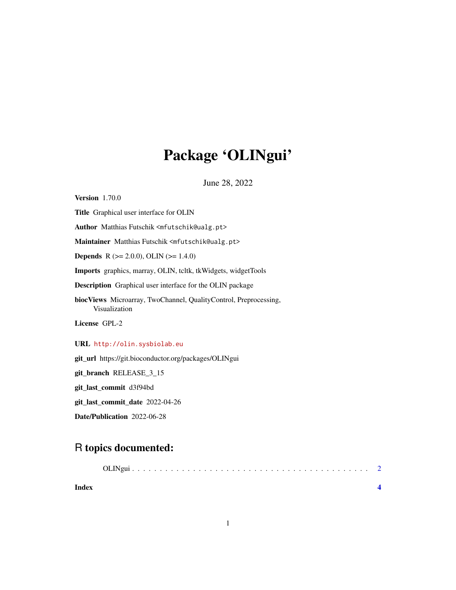## Package 'OLINgui'

June 28, 2022

<span id="page-0-0"></span>Version 1.70.0 Title Graphical user interface for OLIN Author Matthias Futschik <mfutschik@ualg.pt> Maintainer Matthias Futschik <mfutschik@ualg.pt> **Depends** R ( $>= 2.0.0$ ), OLIN ( $>= 1.4.0$ ) Imports graphics, marray, OLIN, tcltk, tkWidgets, widgetTools Description Graphical user interface for the OLIN package biocViews Microarray, TwoChannel, QualityControl, Preprocessing, Visualization License GPL-2 URL <http://olin.sysbiolab.eu> git\_url https://git.bioconductor.org/packages/OLINgui

git\_branch RELEASE\_3\_15

git\_last\_commit d3f94bd

git\_last\_commit\_date 2022-04-26

Date/Publication 2022-06-28

### R topics documented:

| Index |  |
|-------|--|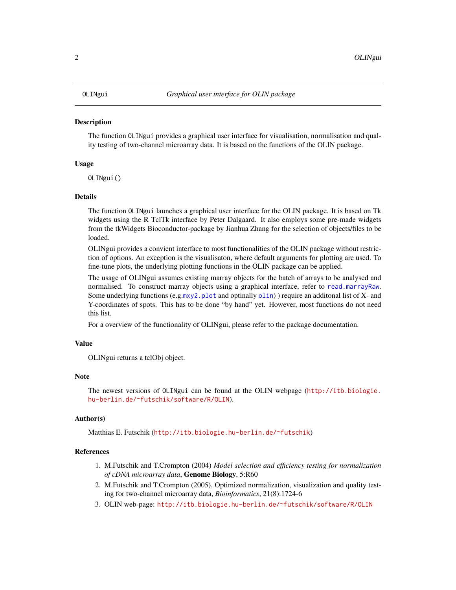#### <span id="page-1-0"></span>Description

The function OLINgui provides a graphical user interface for visualisation, normalisation and quality testing of two-channel microarray data. It is based on the functions of the OLIN package.

### Usage

OLINgui()

#### Details

The function OLINgui launches a graphical user interface for the OLIN package. It is based on Tk widgets using the R TclTk interface by Peter Dalgaard. It also employs some pre-made widgets from the tkWidgets Bioconductor-package by Jianhua Zhang for the selection of objects/files to be loaded.

OLINgui provides a convient interface to most functionalities of the OLIN package without restriction of options. An exception is the visualisaton, where default arguments for plotting are used. To fine-tune plots, the underlying plotting functions in the OLIN package can be applied.

The usage of OLINgui assumes existing marray objects for the batch of arrays to be analysed and normalised. To construct marray objects using a graphical interface, refer to [read.marrayRaw](#page-0-0). Some underlying functions (e.g.[mxy2.plot](#page-0-0) and optinally  $\text{olin}$  $\text{olin}$  $\text{olin}$ ) require an additonal list of X- and Y-coordinates of spots. This has to be done "by hand" yet. However, most functions do not need this list.

For a overview of the functionality of OLINgui, please refer to the package documentation.

#### Value

OLINgui returns a tclObj object.

#### Note

The newest versions of OLINgui can be found at the OLIN webpage ([http://itb.biologie.](http://itb.biologie.hu-berlin.de/~futschik/software/R/OLIN) [hu-berlin.de/~futschik/software/R/OLIN](http://itb.biologie.hu-berlin.de/~futschik/software/R/OLIN)).

#### Author(s)

Matthias E. Futschik (<http://itb.biologie.hu-berlin.de/~futschik>)

#### References

- 1. M.Futschik and T.Crompton (2004) *Model selection and efficiency testing for normalization of cDNA microarray data*, Genome Biology, 5:R60
- 2. M.Futschik and T.Crompton (2005), Optimized normalization, visualization and quality testing for two-channel microarray data, *Bioinformatics*, 21(8):1724-6
- 3. OLIN web-page: <http://itb.biologie.hu-berlin.de/~futschik/software/R/OLIN>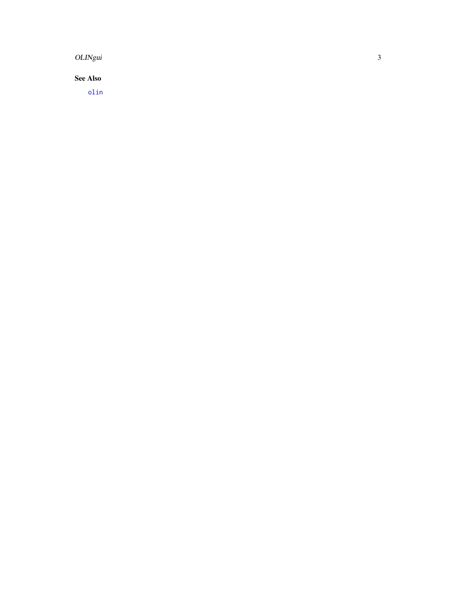<span id="page-2-0"></span>OLINgui

**See Also** 

 $olin$